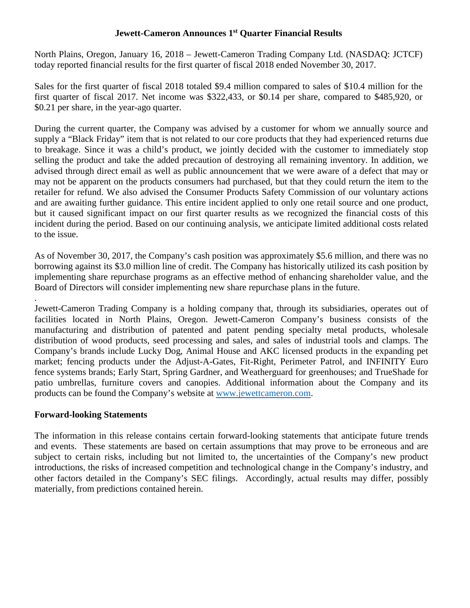# **Jewett-Cameron Announces 1st Quarter Financial Results**

North Plains, Oregon, January 16, 2018 – Jewett-Cameron Trading Company Ltd. (NASDAQ: JCTCF) today reported financial results for the first quarter of fiscal 2018 ended November 30, 2017.

Sales for the first quarter of fiscal 2018 totaled \$9.4 million compared to sales of \$10.4 million for the first quarter of fiscal 2017. Net income was \$322,433, or \$0.14 per share, compared to \$485,920, or \$0.21 per share, in the year-ago quarter.

During the current quarter, the Company was advised by a customer for whom we annually source and supply a "Black Friday" item that is not related to our core products that they had experienced returns due to breakage. Since it was a child's product, we jointly decided with the customer to immediately stop selling the product and take the added precaution of destroying all remaining inventory. In addition, we advised through direct email as well as public announcement that we were aware of a defect that may or may not be apparent on the products consumers had purchased, but that they could return the item to the retailer for refund. We also advised the Consumer Products Safety Commission of our voluntary actions and are awaiting further guidance. This entire incident applied to only one retail source and one product, but it caused significant impact on our first quarter results as we recognized the financial costs of this incident during the period. Based on our continuing analysis, we anticipate limited additional costs related to the issue.

As of November 30, 2017, the Company's cash position was approximately \$5.6 million, and there was no borrowing against its \$3.0 million line of credit. The Company has historically utilized its cash position by implementing share repurchase programs as an effective method of enhancing shareholder value, and the Board of Directors will consider implementing new share repurchase plans in the future.

Jewett-Cameron Trading Company is a holding company that, through its subsidiaries, operates out of facilities located in North Plains, Oregon. Jewett-Cameron Company's business consists of the manufacturing and distribution of patented and patent pending specialty metal products, wholesale distribution of wood products, seed processing and sales, and sales of industrial tools and clamps. The Company's brands include Lucky Dog, Animal House and AKC licensed products in the expanding pet market; fencing products under the Adjust-A-Gates, Fit-Right, Perimeter Patrol, and INFINITY Euro fence systems brands; Early Start, Spring Gardner, and Weatherguard for greenhouses; and TrueShade for patio umbrellas, furniture covers and canopies. Additional information about the Company and its products can be found the Company's website at [www.jewettcameron.com](http://www.jewettcameron.com/).

## **Forward-looking Statements**

.

The information in this release contains certain forward-looking statements that anticipate future trends and events. These statements are based on certain assumptions that may prove to be erroneous and are subject to certain risks, including but not limited to, the uncertainties of the Company's new product introductions, the risks of increased competition and technological change in the Company's industry, and other factors detailed in the Company's SEC filings. Accordingly, actual results may differ, possibly materially, from predictions contained herein.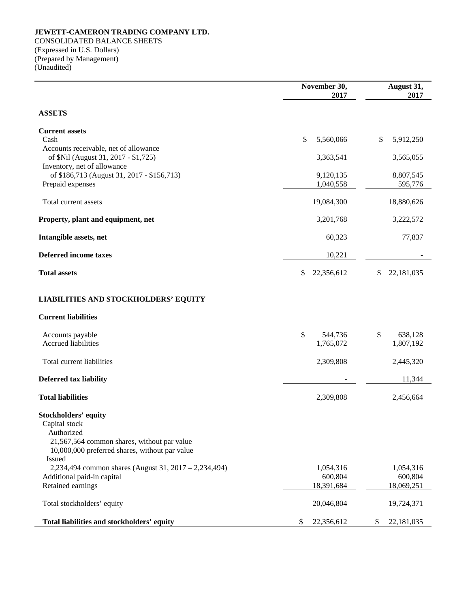#### **JEWETT-CAMERON TRADING COMPANY LTD.** CONSOLIDATED BALANCE SHEETS (Expressed in U.S. Dollars) (Prepared by Management) (Unaudited)

|                                                                                                                                                                       | November 30,<br>2017       | August 31,<br>2017         |  |
|-----------------------------------------------------------------------------------------------------------------------------------------------------------------------|----------------------------|----------------------------|--|
| <b>ASSETS</b>                                                                                                                                                         |                            |                            |  |
| <b>Current assets</b><br>Cash<br>Accounts receivable, net of allowance                                                                                                | \$<br>5,560,066            | 5,912,250<br>\$            |  |
| of \$Nil (August 31, 2017 - \$1,725)<br>Inventory, net of allowance                                                                                                   | 3,363,541                  | 3,565,055                  |  |
| of \$186,713 (August 31, 2017 - \$156,713)<br>Prepaid expenses                                                                                                        | 9,120,135<br>1,040,558     | 8,807,545<br>595,776       |  |
| Total current assets                                                                                                                                                  | 19,084,300                 | 18,880,626                 |  |
| Property, plant and equipment, net                                                                                                                                    | 3,201,768                  | 3,222,572                  |  |
| Intangible assets, net                                                                                                                                                | 60,323                     | 77,837                     |  |
| <b>Deferred income taxes</b>                                                                                                                                          | 10,221                     |                            |  |
| <b>Total assets</b>                                                                                                                                                   | \$<br>22,356,612           | \$<br>22,181,035           |  |
| <b>LIABILITIES AND STOCKHOLDERS' EQUITY</b>                                                                                                                           |                            |                            |  |
| <b>Current liabilities</b>                                                                                                                                            |                            |                            |  |
| Accounts payable<br>Accrued liabilities                                                                                                                               | \$<br>544,736<br>1,765,072 | \$<br>638,128<br>1,807,192 |  |
| Total current liabilities                                                                                                                                             | 2,309,808                  | 2,445,320                  |  |
| <b>Deferred tax liability</b>                                                                                                                                         |                            | 11,344                     |  |
| <b>Total liabilities</b>                                                                                                                                              | 2,309,808                  | 2,456,664                  |  |
| <b>Stockholders' equity</b><br>Capital stock<br>Authorized<br>21,567,564 common shares, without par value<br>10,000,000 preferred shares, without par value<br>Issued |                            |                            |  |
| 2,234,494 common shares (August 31, 2017 – 2,234,494)<br>Additional paid-in capital                                                                                   | 1,054,316<br>600,804       | 1,054,316<br>600,804       |  |
| Retained earnings                                                                                                                                                     | 18,391,684                 | 18,069,251                 |  |
| Total stockholders' equity                                                                                                                                            | 20,046,804                 | 19,724,371                 |  |
| Total liabilities and stockholders' equity                                                                                                                            | \$<br>22,356,612           | \$<br>22,181,035           |  |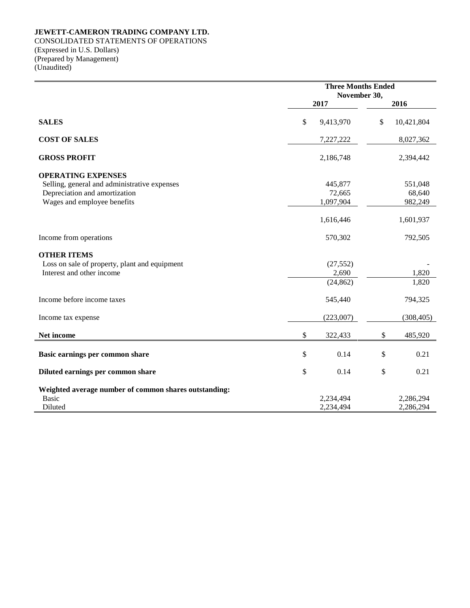### **JEWETT-CAMERON TRADING COMPANY LTD.**

CONSOLIDATED STATEMENTS OF OPERATIONS (Expressed in U.S. Dollars) (Prepared by Management) (Unaudited)

|                                                                                                                                           |           | <b>Three Months Ended</b><br>November 30, |    |                              |  |
|-------------------------------------------------------------------------------------------------------------------------------------------|-----------|-------------------------------------------|----|------------------------------|--|
|                                                                                                                                           |           | 2017                                      |    | 2016                         |  |
| <b>SALES</b>                                                                                                                              | \$        | 9,413,970                                 | \$ | 10,421,804                   |  |
| <b>COST OF SALES</b>                                                                                                                      |           | 7,227,222                                 |    | 8,027,362                    |  |
| <b>GROSS PROFIT</b>                                                                                                                       |           | 2,186,748                                 |    | 2,394,442                    |  |
| <b>OPERATING EXPENSES</b><br>Selling, general and administrative expenses<br>Depreciation and amortization<br>Wages and employee benefits |           | 445,877<br>72,665<br>1,097,904            |    | 551,048<br>68,640<br>982,249 |  |
|                                                                                                                                           |           | 1,616,446                                 |    | 1,601,937                    |  |
| Income from operations                                                                                                                    |           | 570,302                                   |    | 792,505                      |  |
| <b>OTHER ITEMS</b><br>Loss on sale of property, plant and equipment<br>Interest and other income                                          |           | (27, 552)<br>2,690<br>(24, 862)           |    | 1,820<br>1,820               |  |
| Income before income taxes                                                                                                                |           | 545,440                                   |    | 794,325                      |  |
| Income tax expense                                                                                                                        | (223,007) |                                           |    | (308, 405)                   |  |
| Net income                                                                                                                                | \$        | 322,433                                   | \$ | 485,920                      |  |
| Basic earnings per common share                                                                                                           | \$        | 0.14                                      | \$ | 0.21                         |  |
| Diluted earnings per common share                                                                                                         | \$        | 0.14                                      | \$ | 0.21                         |  |
| Weighted average number of common shares outstanding:<br><b>Basic</b><br>Diluted                                                          |           | 2,234,494<br>2,234,494                    |    | 2,286,294<br>2,286,294       |  |